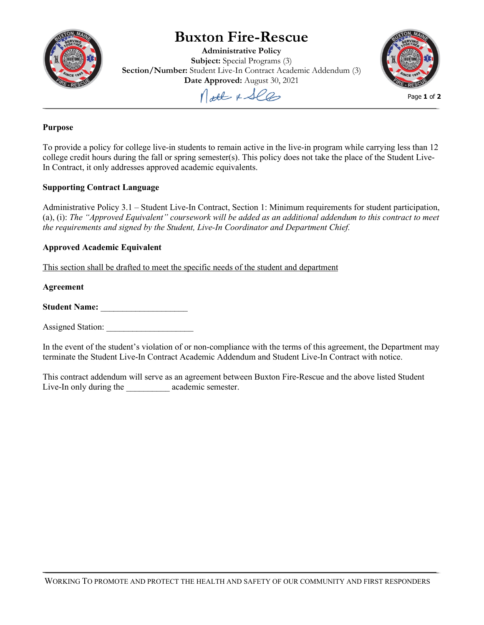

# **Buxton Fire-Rescue**

**Administrative Policy Subject:** Special Programs (3) **Section/Number:** Student Live-In Contract Academic Addendum (3) **Date Approved:** August 30, 2021



Molt & See

#### **Purpose**

To provide a policy for college live-in students to remain active in the live-in program while carrying less than 12 college credit hours during the fall or spring semester(s). This policy does not take the place of the Student Live-In Contract, it only addresses approved academic equivalents.

## **Supporting Contract Language**

Administrative Policy 3.1 – Student Live-In Contract, Section 1: Minimum requirements for student participation, (a), (i): *The "Approved Equivalent" coursework will be added as an additional addendum to this contract to meet the requirements and signed by the Student, Live-In Coordinator and Department Chief.*

### **Approved Academic Equivalent**

This section shall be drafted to meet the specific needs of the student and department

#### **Agreement**

**Student Name:** \_\_\_\_\_\_\_\_\_\_\_\_\_\_\_\_\_\_\_\_

Assigned Station:

In the event of the student's violation of or non-compliance with the terms of this agreement, the Department may terminate the Student Live-In Contract Academic Addendum and Student Live-In Contract with notice.

This contract addendum will serve as an agreement between Buxton Fire-Rescue and the above listed Student Live-In only during the academic semester.